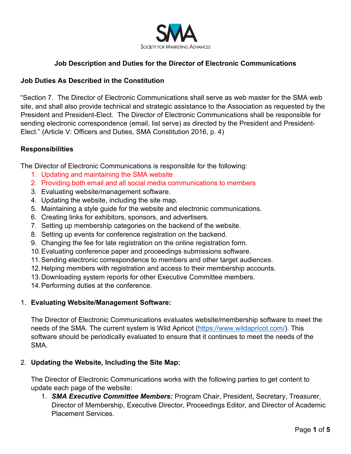

## **Job Description and Duties for the Director of Electronic Communications**

### **Job Duties As Described in the Constitution**

"Section 7. The Director of Electronic Communications shall serve as web master for the SMA web site, and shall also provide technical and strategic assistance to the Association as requested by the President and President-Elect. The Director of Electronic Communications shall be responsible for sending electronic correspondence (email, list serve) as directed by the President and President-Elect." (Article V: Officers and Duties, SMA Constitution 2016, p. 4)

## **Responsibilities**

The Director of Electronic Communications is responsible for the following:

- 1. Updating and maintaining the SMA website
- 2. Providing both email and all social media communications to members
- 3. Evaluating website/management software.
- 4. Updating the website, including the site map.
- 5. Maintaining a style guide for the website and electronic communications.
- 6. Creating links for exhibitors, sponsors, and advertisers.
- 7. Setting up membership categories on the backend of the website.
- 8. Setting up events for conference registration on the backend.
- 9. Changing the fee for late registration on the online registration form.
- 10.Evaluating conference paper and proceedings submissions software.
- 11.Sending electronic correspondence to members and other target audiences.
- 12.Helping members with registration and access to their membership accounts.
- 13.Downloading system reports for other Executive Committee members.
- 14.Performing duties at the conference.

### 1. **Evaluating Website/Management Software:**

The Director of Electronic Communications evaluates website/membership software to meet the needs of the SMA. The current system is Wild Apricot [\(https://www.wildapricot.com/\)](https://www.wildapricot.com/). This software should be periodically evaluated to ensure that it continues to meet the needs of the SMA.

### 2. **Updating the Website, Including the Site Map:**

The Director of Electronic Communications works with the following parties to get content to update each page of the website:

1. *SMA Executive Committee Members:* Program Chair, President, Secretary, Treasurer, Director of Membership, Executive Director, Proceedings Editor, and Director of Academic Placement Services.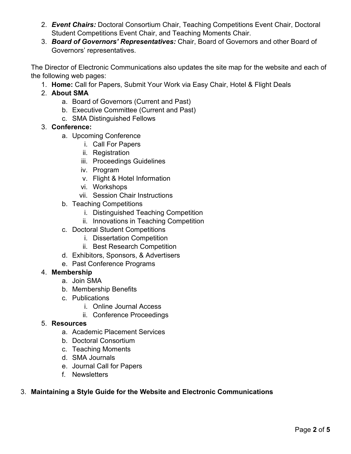- 2. *Event Chairs:* Doctoral Consortium Chair, Teaching Competitions Event Chair, Doctoral Student Competitions Event Chair, and Teaching Moments Chair.
- 3. *Board of Governors' Representatives:* Chair, Board of Governors and other Board of Governors' representatives.

The Director of Electronic Communications also updates the site map for the website and each of the following web pages:

- 1. **Home:** Call for Papers, Submit Your Work via Easy Chair, Hotel & Flight Deals
- 2. **About SMA**
	- a. Board of Governors (Current and Past)
	- b. Executive Committee (Current and Past)
	- c. SMA Distinguished Fellows
- 3. **Conference:** 
	- a. Upcoming Conference
		- i. Call For Papers
		- ii. Registration
		- iii. Proceedings Guidelines
		- iv. Program
		- v. Flight & Hotel Information
		- vi. Workshops
		- vii. Session Chair Instructions
	- b. Teaching Competitions
		- i. Distinguished Teaching Competition
		- ii. Innovations in Teaching Competition
	- c. Doctoral Student Competitions
		- i. Dissertation Competition
		- ii. Best Research Competition
	- d. Exhibitors, Sponsors, & Advertisers
	- e. Past Conference Programs

## 4. **Membership**

- a. Join SMA
- b. Membership Benefits
- c. Publications
	- i. Online Journal Access
	- ii. Conference Proceedings

## 5. **Resources**

- a. Academic Placement Services
- b. Doctoral Consortium
- c. Teaching Moments
- d. SMA Journals
- e. Journal Call for Papers
- f. Newsletters

## 3. **Maintaining a Style Guide for the Website and Electronic Communications**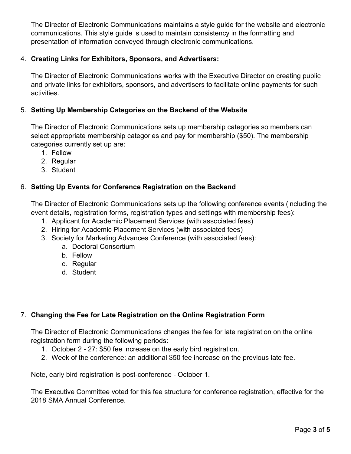The Director of Electronic Communications maintains a style guide for the website and electronic communications. This style guide is used to maintain consistency in the formatting and presentation of information conveyed through electronic communications.

## 4. **Creating Links for Exhibitors, Sponsors, and Advertisers:**

The Director of Electronic Communications works with the Executive Director on creating public and private links for exhibitors, sponsors, and advertisers to facilitate online payments for such activities.

## 5. **Setting Up Membership Categories on the Backend of the Website**

The Director of Electronic Communications sets up membership categories so members can select appropriate membership categories and pay for membership (\$50). The membership categories currently set up are:

- 1. Fellow
- 2. Regular
- 3. Student

# 6. **Setting Up Events for Conference Registration on the Backend**

The Director of Electronic Communications sets up the following conference events (including the event details, registration forms, registration types and settings with membership fees):

- 1. Applicant for Academic Placement Services (with associated fees)
- 2. Hiring for Academic Placement Services (with associated fees)
- 3. Society for Marketing Advances Conference (with associated fees):
	- a. Doctoral Consortium
	- b. Fellow
	- c. Regular
	- d. Student

# 7. **Changing the Fee for Late Registration on the Online Registration Form**

The Director of Electronic Communications changes the fee for late registration on the online registration form during the following periods:

- 1. October 2 27: \$50 fee increase on the early bird registration.
- 2. Week of the conference: an additional \$50 fee increase on the previous late fee.

Note, early bird registration is post-conference - October 1.

The Executive Committee voted for this fee structure for conference registration, effective for the 2018 SMA Annual Conference.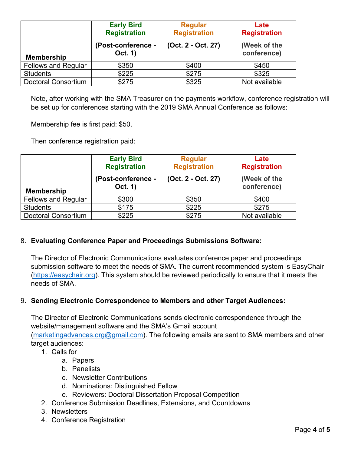| <b>Membership</b>          | <b>Early Bird</b><br><b>Registration</b><br>(Post-conference -<br>Oct. 1) | <b>Regular</b><br><b>Registration</b><br>(Oct. 2 - Oct. 27) | Late<br><b>Registration</b><br>(Week of the<br>conference) |
|----------------------------|---------------------------------------------------------------------------|-------------------------------------------------------------|------------------------------------------------------------|
| <b>Fellows and Regular</b> | \$350                                                                     | \$400                                                       | \$450                                                      |
| <b>Students</b>            | \$225                                                                     | \$275                                                       | \$325                                                      |
| <b>Doctoral Consortium</b> | \$275                                                                     | \$325                                                       | Not available                                              |

Note, after working with the SMA Treasurer on the payments workflow, conference registration will be set up for conferences starting with the 2019 SMA Annual Conference as follows:

Membership fee is first paid: \$50.

Then conference registration paid:

|                            | <b>Early Bird</b><br><b>Registration</b><br>(Post-conference - | <b>Regular</b><br><b>Registration</b><br>(Oct. 2 - Oct. 27) | Late<br><b>Registration</b><br>(Week of the |
|----------------------------|----------------------------------------------------------------|-------------------------------------------------------------|---------------------------------------------|
| <b>Membership</b>          | Oct. 1)                                                        |                                                             | conference)                                 |
| <b>Fellows and Regular</b> | \$300                                                          | \$350                                                       | \$400                                       |
| <b>Students</b>            | \$175                                                          | \$225                                                       | \$275                                       |
| <b>Doctoral Consortium</b> | \$225                                                          | \$275                                                       | Not available                               |

## 8. **Evaluating Conference Paper and Proceedings Submissions Software:**

The Director of Electronic Communications evaluates conference paper and proceedings submission software to meet the needs of SMA. The current recommended system is EasyChair [\(https://easychair.org\)](https://easychair.org/). This system should be reviewed periodically to ensure that it meets the needs of SMA.

## 9. **Sending Electronic Correspondence to Members and other Target Audiences:**

The Director of Electronic Communications sends electronic correspondence through the website/management software and the SMA's Gmail account [\(marketingadvances.org@gmail.com\)](mailto:marketingadvances.org@gmail.com). The following emails are sent to SMA members and other target audiences:

- 1. Calls for
	- a. Papers
	- b. Panelists
	- c. Newsletter Contributions
	- d. Nominations: Distinguished Fellow
	- e. Reviewers: Doctoral Dissertation Proposal Competition
- 2. Conference Submission Deadlines, Extensions, and Countdowns
- 3. Newsletters
- 4. Conference Registration